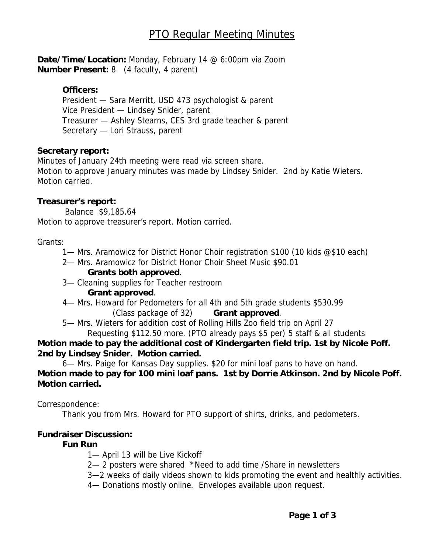# PTO Regular Meeting Minutes

**Date/Time/Location:** Monday, February 14 @ 6:00pm via Zoom **Number Present:** 8 (4 faculty, 4 parent)

## **Officers:**

President — Sara Merritt, USD 473 psychologist & parent Vice President — Lindsey Snider, parent Treasurer — Ashley Stearns, CES 3rd grade teacher & parent Secretary — Lori Strauss, parent

#### **Secretary report:**

Minutes of January 24th meeting were read via screen share. Motion to approve January minutes was made by Lindsey Snider. 2nd by Katie Wieters. Motion carried.

# **Treasurer's report:**

 Balance \$9,185.64 Motion to approve treasurer's report. Motion carried.

# Grants:

1— Mrs. Aramowicz for District Honor Choir registration \$100 (10 kids @\$10 each)

2— Mrs. Aramowicz for District Honor Choir Sheet Music \$90.01

# **Grants both approved**.

3— Cleaning supplies for Teacher restroom

# **Grant approved**.

 4— Mrs. Howard for Pedometers for all 4th and 5th grade students \$530.99 (Class package of 32) **Grant approved**.

5— Mrs. Wieters for addition cost of Rolling Hills Zoo field trip on April 27

 Requesting \$112.50 more. (PTO already pays \$5 per) 5 staff & all students **Motion made to pay the additional cost of Kindergarten field trip. 1st by Nicole Poff.** 

# **2nd by Lindsey Snider. Motion carried.**

6— Mrs. Paige for Kansas Day supplies. \$20 for mini loaf pans to have on hand. **Motion made to pay for 100 mini loaf pans. 1st by Dorrie Atkinson. 2nd by Nicole Poff. Motion carried.** 

#### Correspondence:

Thank you from Mrs. Howard for PTO support of shirts, drinks, and pedometers.

# **Fundraiser Discussion:**

#### **Fun Run**

- 1- April 13 will be Live Kickoff
- 2— 2 posters were shared \*Need to add time /Share in newsletters
- 3—2 weeks of daily videos shown to kids promoting the event and healthly activities.
- 4— Donations mostly online. Envelopes available upon request.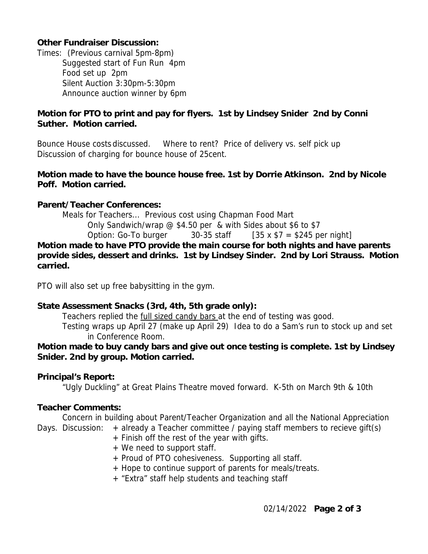# **Other Fundraiser Discussion:**

Times: (Previous carnival 5pm-8pm) Suggested start of Fun Run 4pm Food set up 2pm Silent Auction 3:30pm-5:30pm Announce auction winner by 6pm

# **Motion for PTO to print and pay for flyers. 1st by Lindsey Snider 2nd by Conni Suther. Motion carried.**

Bounce House costs discussed. Where to rent? Price of delivery vs. self pick up Discussion of charging for bounce house of 25cent.

## **Motion made to have the bounce house free. 1st by Dorrie Atkinson. 2nd by Nicole Poff. Motion carried.**

# **Parent/Teacher Conferences:**

 Meals for Teachers... Previous cost using Chapman Food Mart Only Sandwich/wrap @ \$4.50 per & with Sides about \$6 to \$7 Option: Go-To burger  $30-35$  staff  $135 \times 17 = 245$  per night **Motion made to have PTO provide the main course for both nights and have parents provide sides, dessert and drinks. 1st by Lindsey Sinder. 2nd by Lori Strauss. Motion carried.** 

PTO will also set up free babysitting in the gym.

#### **State Assessment Snacks (3rd, 4th, 5th grade only):**

Teachers replied the full sized candy bars at the end of testing was good.

 Testing wraps up April 27 (make up April 29) Idea to do a Sam's run to stock up and set in Conference Room.

**Motion made to buy candy bars and give out once testing is complete. 1st by Lindsey Snider. 2nd by group. Motion carried.** 

#### **Principal's Report:**

"Ugly Duckling" at Great Plains Theatre moved forward. K-5th on March 9th & 10th

#### **Teacher Comments:**

Concern in building about Parent/Teacher Organization and all the National Appreciation Days. Discussion: + already a Teacher committee / paying staff members to recieve gift(s)

- + Finish off the rest of the year with gifts.
- + We need to support staff.
- + Proud of PTO cohesiveness. Supporting all staff.
- + Hope to continue support of parents for meals/treats.
- + "Extra" staff help students and teaching staff